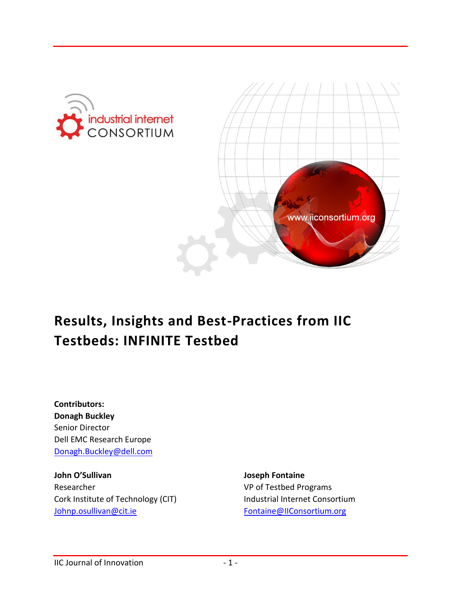



# **Results, Insights and Best-Practices from IIC Testbeds: INFINITE Testbed**

**Contributors: Donagh Buckley** Senior Director Dell EMC Research Europe [Donagh.Buckley@dell.com](mailto:Donagh.Buckley@dell.com)

**John O'Sullivan** Researcher Cork Institute of Technology (CIT) [Johnp.osullivan@cit.ie](mailto:Johnp.osullivan@cit.ie)

**Joseph Fontaine**  VP of Testbed Programs Industrial Internet Consortium [Fontaine@IIConsortium.org](file:///C:/Users/kathy/Documents/IIC-JOI%20Submissions/January%202017%20Edition/Formatted%20for%20Pub/Fontaine@IIConsortium.org)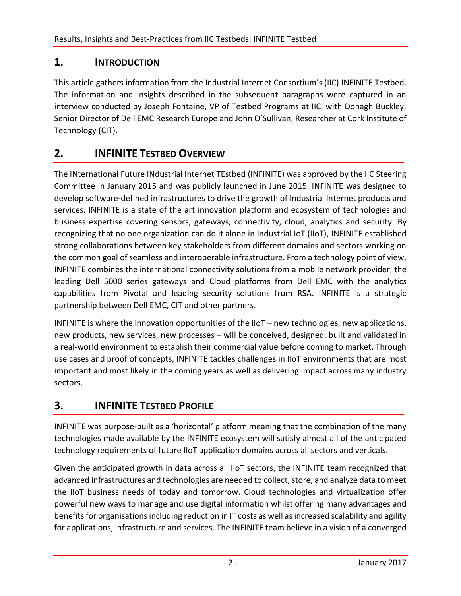#### **1. INTRODUCTION**

This article gathers information from the Industrial Internet Consortium's (IIC) INFINITE Testbed. The information and insights described in the subsequent paragraphs were captured in an interview conducted by Joseph Fontaine, VP of Testbed Programs at IIC, with Donagh Buckley, Senior Director of Dell EMC Research Europe and John O'Sullivan, Researcher at Cork Institute of Technology (CIT).

### **2. INFINITE TESTBED OVERVIEW**

The INternational Future INdustrial Internet TEstbed (INFINITE) was approved by the IIC Steering Committee in January 2015 and was publicly launched in June 2015. INFINITE was designed to develop software-defined infrastructures to drive the growth of Industrial Internet products and services. INFINITE is a state of the art innovation platform and ecosystem of technologies and business expertise covering sensors, gateways, connectivity, cloud, analytics and security. By recognizing that no one organization can do it alone in Industrial IoT (IIoT), INFINITE established strong collaborations between key stakeholders from different domains and sectors working on the common goal of seamless and interoperable infrastructure. From a technology point of view, INFINITE combines the international connectivity solutions from a mobile network provider, the leading Dell 5000 series gateways and Cloud platforms from Dell EMC with the analytics capabilities from Pivotal and leading security solutions from RSA. INFINITE is a strategic partnership between Dell EMC, CIT and other partners.

INFINITE is where the innovation opportunities of the IIoT – new technologies, new applications, new products, new services, new processes – will be conceived, designed, built and validated in a real-world environment to establish their commercial value before coming to market. Through use cases and proof of concepts, INFINITE tackles challenges in IIoT environments that are most important and most likely in the coming years as well as delivering impact across many industry sectors.

#### **3. INFINITE TESTBED PROFILE**

INFINITE was purpose-built as a 'horizontal' platform meaning that the combination of the many technologies made available by the INFINITE ecosystem will satisfy almost all of the anticipated technology requirements of future IIoT application domains across all sectors and verticals.

Given the anticipated growth in data across all IIoT sectors, the INFINITE team recognized that advanced infrastructures and technologies are needed to collect, store, and analyze data to meet the IIoT business needs of today and tomorrow. Cloud technologies and virtualization offer powerful new ways to manage and use digital information whilst offering many advantages and benefits for organisations including reduction in IT costs as well as increased scalability and agility for applications, infrastructure and services. The INFINITE team believe in a vision of a converged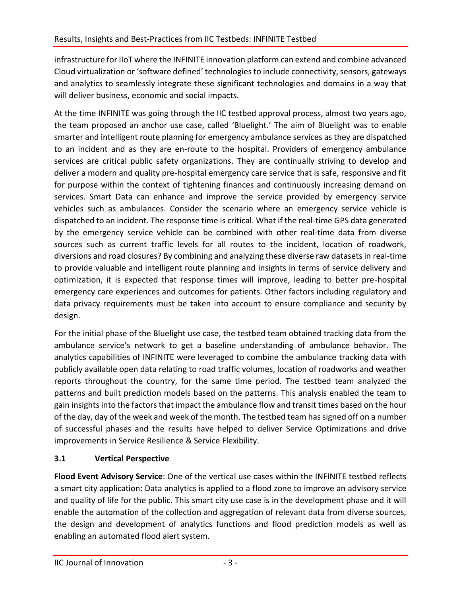infrastructure for IIoT where the INFINITE innovation platform can extend and combine advanced Cloud virtualization or 'software defined' technologies to include connectivity, sensors, gateways and analytics to seamlessly integrate these significant technologies and domains in a way that will deliver business, economic and social impacts.

At the time INFINITE was going through the IIC testbed approval process, almost two years ago, the team proposed an anchor use case, called 'Bluelight.' The aim of Bluelight was to enable smarter and intelligent route planning for emergency ambulance services as they are dispatched to an incident and as they are en-route to the hospital. Providers of emergency ambulance services are critical public safety organizations. They are continually striving to develop and deliver a modern and quality pre-hospital emergency care service that is safe, responsive and fit for purpose within the context of tightening finances and continuously increasing demand on services. Smart Data can enhance and improve the service provided by emergency service vehicles such as ambulances. Consider the scenario where an emergency service vehicle is dispatched to an incident. The response time is critical. What if the real-time GPS data generated by the emergency service vehicle can be combined with other real-time data from diverse sources such as current traffic levels for all routes to the incident, location of roadwork, diversions and road closures? By combining and analyzing these diverse raw datasets in real-time to provide valuable and intelligent route planning and insights in terms of service delivery and optimization, it is expected that response times will improve, leading to better pre-hospital emergency care experiences and outcomes for patients. Other factors including regulatory and data privacy requirements must be taken into account to ensure compliance and security by design.

For the initial phase of the Bluelight use case, the testbed team obtained tracking data from the ambulance service's network to get a baseline understanding of ambulance behavior. The analytics capabilities of INFINITE were leveraged to combine the ambulance tracking data with publicly available open data relating to road traffic volumes, location of roadworks and weather reports throughout the country, for the same time period. The testbed team analyzed the patterns and built prediction models based on the patterns. This analysis enabled the team to gain insights into the factors that impact the ambulance flow and transit times based on the hour of the day, day of the week and week of the month. The testbed team has signed off on a number of successful phases and the results have helped to deliver Service Optimizations and drive improvements in Service Resilience & Service Flexibility.

#### **3.1 Vertical Perspective**

**Flood Event Advisory Service**: One of the vertical use cases within the INFINITE testbed reflects a smart city application: Data analytics is applied to a flood zone to improve an advisory service and quality of life for the public. This smart city use case is in the development phase and it will enable the automation of the collection and aggregation of relevant data from diverse sources, the design and development of analytics functions and flood prediction models as well as enabling an automated flood alert system.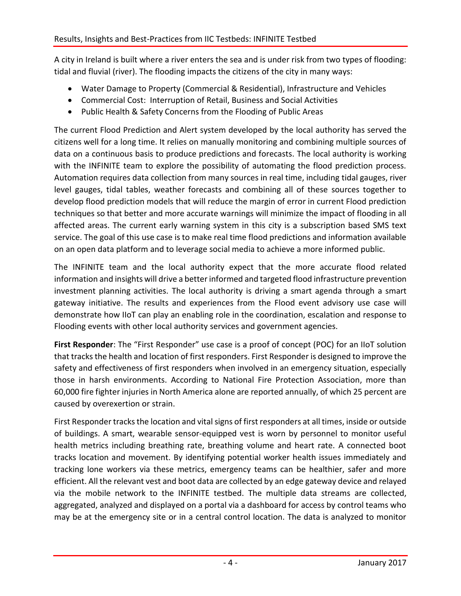A city in Ireland is built where a river enters the sea and is under risk from two types of flooding: tidal and fluvial (river). The flooding impacts the citizens of the city in many ways:

- Water Damage to Property (Commercial & Residential), Infrastructure and Vehicles
- Commercial Cost: Interruption of Retail, Business and Social Activities
- Public Health & Safety Concerns from the Flooding of Public Areas

The current Flood Prediction and Alert system developed by the local authority has served the citizens well for a long time. It relies on manually monitoring and combining multiple sources of data on a continuous basis to produce predictions and forecasts. The local authority is working with the INFINITE team to explore the possibility of automating the flood prediction process. Automation requires data collection from many sources in real time, including tidal gauges, river level gauges, tidal tables, weather forecasts and combining all of these sources together to develop flood prediction models that will reduce the margin of error in current Flood prediction techniques so that better and more accurate warnings will minimize the impact of flooding in all affected areas. The current early warning system in this city is a subscription based SMS text service. The goal of this use case is to make real time flood predictions and information available on an open data platform and to leverage social media to achieve a more informed public.

The INFINITE team and the local authority expect that the more accurate flood related information and insights will drive a better informed and targeted flood infrastructure prevention investment planning activities. The local authority is driving a smart agenda through a smart gateway initiative. The results and experiences from the Flood event advisory use case will demonstrate how IIoT can play an enabling role in the coordination, escalation and response to Flooding events with other local authority services and government agencies.

**First Responder**: The "First Responder" use case is a proof of concept (POC) for an IIoT solution that tracks the health and location of first responders. First Responder is designed to improve the safety and effectiveness of first responders when involved in an emergency situation, especially those in harsh environments. According to National Fire Protection Association, more than 60,000 fire fighter injuries in North America alone are reported annually, of which 25 percent are caused by overexertion or strain.

First Responder tracks the location and vital signs of first responders at all times, inside or outside of buildings. A smart, wearable sensor-equipped vest is worn by personnel to monitor useful health metrics including breathing rate, breathing volume and heart rate. A connected boot tracks location and movement. By identifying potential worker health issues immediately and tracking lone workers via these metrics, emergency teams can be healthier, safer and more efficient. All the relevant vest and boot data are collected by an edge gateway device and relayed via the mobile network to the INFINITE testbed. The multiple data streams are collected, aggregated, analyzed and displayed on a portal via a dashboard for access by control teams who may be at the emergency site or in a central control location. The data is analyzed to monitor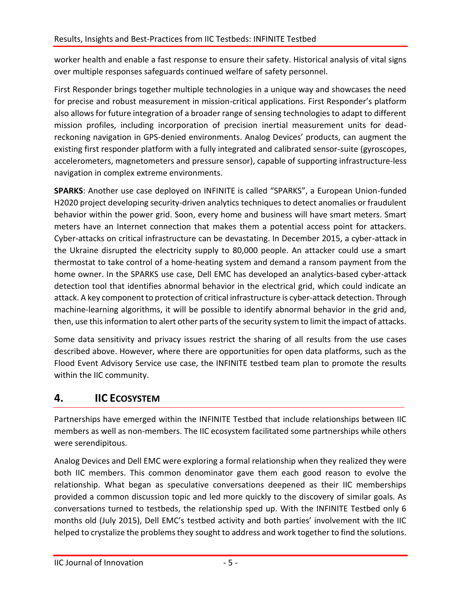worker health and enable a fast response to ensure their safety. Historical analysis of vital signs over multiple responses safeguards continued welfare of safety personnel.

First Responder brings together multiple technologies in a unique way and showcases the need for precise and robust measurement in mission-critical applications. First Responder's platform also allows for future integration of a broader range of sensing technologies to adapt to different mission profiles, including incorporation of precision inertial measurement units for deadreckoning navigation in GPS-denied environments. Analog Devices' products, can augment the existing first responder platform with a fully integrated and calibrated sensor-suite (gyroscopes, accelerometers, magnetometers and pressure sensor), capable of supporting infrastructure-less navigation in complex extreme environments.

**SPARKS**: Another use case deployed on INFINITE is called "SPARKS", a European Union-funded H2020 project developing security-driven analytics techniques to detect anomalies or fraudulent behavior within the power grid. Soon, every home and business will have smart meters. Smart meters have an Internet connection that makes them a potential access point for attackers. Cyber-attacks on critical infrastructure can be devastating. In December 2015, a cyber-attack in the Ukraine disrupted the electricity supply to 80,000 people. An attacker could use a smart thermostat to take control of a home-heating system and demand a ransom payment from the home owner. In the SPARKS use case, Dell EMC has developed an analytics-based cyber-attack detection tool that identifies abnormal behavior in the electrical grid, which could indicate an attack. A key component to protection of critical infrastructure is cyber-attack detection. Through machine-learning algorithms, it will be possible to identify abnormal behavior in the grid and, then, use this information to alert other parts of the security system to limit the impact of attacks.

Some data sensitivity and privacy issues restrict the sharing of all results from the use cases described above. However, where there are opportunities for open data platforms, such as the Flood Event Advisory Service use case, the INFINITE testbed team plan to promote the results within the IIC community.

#### **4. IIC ECOSYSTEM**

Partnerships have emerged within the INFINITE Testbed that include relationships between IIC members as well as non-members. The IIC ecosystem facilitated some partnerships while others were serendipitous.

Analog Devices and Dell EMC were exploring a formal relationship when they realized they were both IIC members. This common denominator gave them each good reason to evolve the relationship. What began as speculative conversations deepened as their IIC memberships provided a common discussion topic and led more quickly to the discovery of similar goals. As conversations turned to testbeds, the relationship sped up. With the INFINITE Testbed only 6 months old (July 2015), Dell EMC's testbed activity and both parties' involvement with the IIC helped to crystalize the problems they sought to address and work together to find the solutions.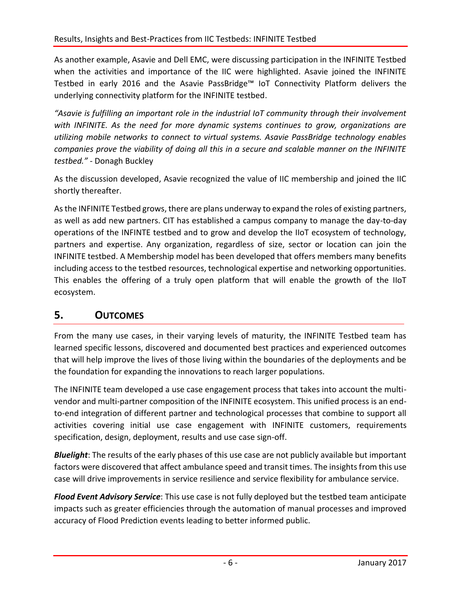As another example, Asavie and Dell EMC, were discussing participation in the INFINITE Testbed when the activities and importance of the IIC were highlighted. Asavie joined the INFINITE Testbed in early 2016 and the Asavie PassBridge™ IoT Connectivity Platform delivers the underlying connectivity platform for the INFINITE testbed.

*"Asavie is fulfilling an important role in the industrial IoT community through their involvement with INFINITE. As the need for more dynamic systems continues to grow, organizations are utilizing mobile networks to connect to virtual systems. Asavie PassBridge technology enables companies prove the viability of doing all this in a secure and scalable manner on the INFINITE testbed."* - Donagh Buckley

As the discussion developed, Asavie recognized the value of IIC membership and joined the IIC shortly thereafter.

As the INFINITE Testbed grows, there are plans underway to expand the roles of existing partners, as well as add new partners. CIT has established a campus company to manage the day-to-day operations of the INFINTE testbed and to grow and develop the IIoT ecosystem of technology, partners and expertise. Any organization, regardless of size, sector or location can join the INFINITE testbed. A Membership model has been developed that offers members many benefits including access to the testbed resources, technological expertise and networking opportunities. This enables the offering of a truly open platform that will enable the growth of the IIoT ecosystem.

#### **5. OUTCOMES**

From the many use cases, in their varying levels of maturity, the INFINITE Testbed team has learned specific lessons, discovered and documented best practices and experienced outcomes that will help improve the lives of those living within the boundaries of the deployments and be the foundation for expanding the innovations to reach larger populations.

The INFINITE team developed a use case engagement process that takes into account the multivendor and multi-partner composition of the INFINITE ecosystem. This unified process is an endto-end integration of different partner and technological processes that combine to support all activities covering initial use case engagement with INFINITE customers, requirements specification, design, deployment, results and use case sign-off.

*Bluelight*: The results of the early phases of this use case are not publicly available but important factors were discovered that affect ambulance speed and transit times. The insights from this use case will drive improvements in service resilience and service flexibility for ambulance service.

*Flood Event Advisory Service*: This use case is not fully deployed but the testbed team anticipate impacts such as greater efficiencies through the automation of manual processes and improved accuracy of Flood Prediction events leading to better informed public.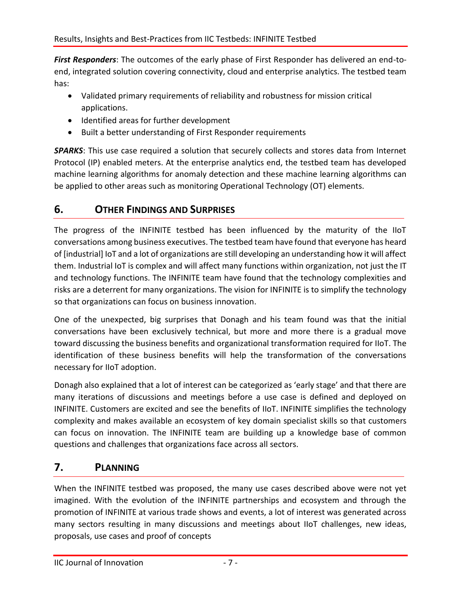*First Responders*: The outcomes of the early phase of First Responder has delivered an end-toend, integrated solution covering connectivity, cloud and enterprise analytics. The testbed team has:

- Validated primary requirements of reliability and robustness for mission critical applications.
- Identified areas for further development
- Built a better understanding of First Responder requirements

*SPARKS*: This use case required a solution that securely collects and stores data from Internet Protocol (IP) enabled meters. At the enterprise analytics end, the testbed team has developed machine learning algorithms for anomaly detection and these machine learning algorithms can be applied to other areas such as monitoring Operational Technology (OT) elements.

#### **6. OTHER FINDINGS AND SURPRISES**

The progress of the INFINITE testbed has been influenced by the maturity of the IIoT conversations among business executives. The testbed team have found that everyone has heard of [industrial] IoT and a lot of organizations are still developing an understanding how it will affect them. Industrial IoT is complex and will affect many functions within organization, not just the IT and technology functions. The INFINITE team have found that the technology complexities and risks are a deterrent for many organizations. The vision for INFINITE is to simplify the technology so that organizations can focus on business innovation.

One of the unexpected, big surprises that Donagh and his team found was that the initial conversations have been exclusively technical, but more and more there is a gradual move toward discussing the business benefits and organizational transformation required for IIoT. The identification of these business benefits will help the transformation of the conversations necessary for IIoT adoption.

Donagh also explained that a lot of interest can be categorized as 'early stage' and that there are many iterations of discussions and meetings before a use case is defined and deployed on INFINITE. Customers are excited and see the benefits of IIoT. INFINITE simplifies the technology complexity and makes available an ecosystem of key domain specialist skills so that customers can focus on innovation. The INFINITE team are building up a knowledge base of common questions and challenges that organizations face across all sectors.

#### **7. PLANNING**

When the INFINITE testbed was proposed, the many use cases described above were not yet imagined. With the evolution of the INFINITE partnerships and ecosystem and through the promotion of INFINITE at various trade shows and events, a lot of interest was generated across many sectors resulting in many discussions and meetings about IIoT challenges, new ideas, proposals, use cases and proof of concepts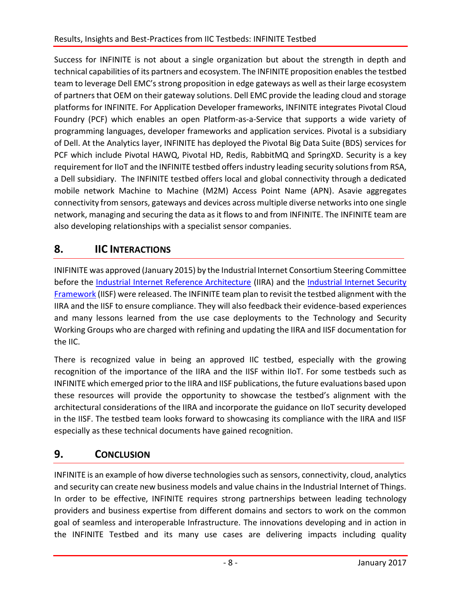Success for INFINITE is not about a single organization but about the strength in depth and technical capabilities of its partners and ecosystem. The INFINITE proposition enables the testbed team to leverage Dell EMC's strong proposition in edge gateways as well as their large ecosystem of partners that OEM on their gateway solutions. Dell EMC provide the leading cloud and storage platforms for INFINITE. For Application Developer frameworks, INFINITE integrates Pivotal Cloud Foundry (PCF) which enables an open Platform-as-a-Service that supports a wide variety of programming languages, developer frameworks and application services. Pivotal is a subsidiary of Dell. At the Analytics layer, INFINITE has deployed the Pivotal Big Data Suite (BDS) services for PCF which include Pivotal HAWQ, Pivotal HD, Redis, RabbitMQ and SpringXD. Security is a key requirement for IIoT and the INFINITE testbed offers industry leading security solutions from RSA, a Dell subsidiary. The INFINITE testbed offers local and global connectivity through a dedicated mobile network Machine to Machine (M2M) Access Point Name (APN). Asavie aggregates connectivity from sensors, gateways and devices across multiple diverse networks into one single network, managing and securing the data as it flows to and from INFINITE. The INFINITE team are also developing relationships with a specialist sensor companies.

## **8. IIC INTERACTIONS**

INIFINITE was approved (January 2015) by the Industrial Internet Consortium Steering Committee before the [Industrial Internet Reference Architecture](http://www.iiconsortium.org/IIRA.htm) (IIRA) and the [Industrial Internet Security](http://www.iiconsortium.org/IISF.htm)  [Framework](http://www.iiconsortium.org/IISF.htm) (IISF) were released. The INFINITE team plan to revisit the testbed alignment with the IIRA and the IISF to ensure compliance. They will also feedback their evidence-based experiences and many lessons learned from the use case deployments to the Technology and Security Working Groups who are charged with refining and updating the IIRA and IISF documentation for the IIC.

There is recognized value in being an approved IIC testbed, especially with the growing recognition of the importance of the IIRA and the IISF within IIoT. For some testbeds such as INFINITE which emerged prior to the IIRA and IISF publications, the future evaluations based upon these resources will provide the opportunity to showcase the testbed's alignment with the architectural considerations of the IIRA and incorporate the guidance on IIoT security developed in the IISF. The testbed team looks forward to showcasing its compliance with the IIRA and IISF especially as these technical documents have gained recognition.

#### **9. CONCLUSION**

INFINITE is an example of how diverse technologies such as sensors, connectivity, cloud, analytics and security can create new business models and value chains in the Industrial Internet of Things. In order to be effective, INFINITE requires strong partnerships between leading technology providers and business expertise from different domains and sectors to work on the common goal of seamless and interoperable Infrastructure. The innovations developing and in action in the INFINITE Testbed and its many use cases are delivering impacts including quality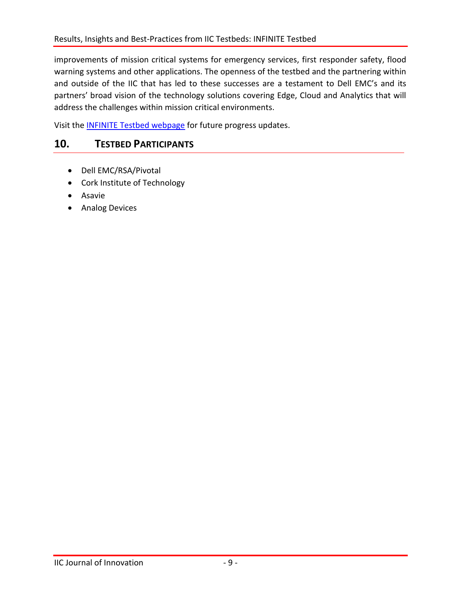improvements of mission critical systems for emergency services, first responder safety, flood warning systems and other applications. The openness of the testbed and the partnering within and outside of the IIC that has led to these successes are a testament to Dell EMC's and its partners' broad vision of the technology solutions covering Edge, Cloud and Analytics that will address the challenges within mission critical environments.

Visit th[e INFINITE Testbed webpage](http://www.iiconsortium.org/infinite.htm) for future progress updates.

#### **10. TESTBED PARTICIPANTS**

- Dell EMC/RSA/Pivotal
- Cork Institute of Technology
- **•** Asavie
- **•** Analog Devices